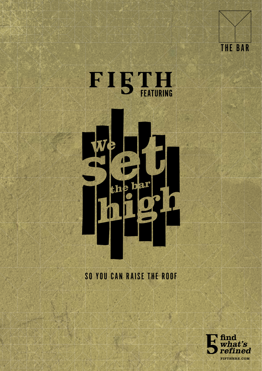



#### SO YOU CAN RAISE THE ROOF

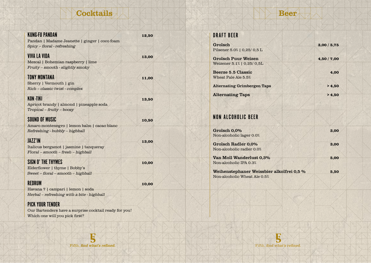# Cocktails

| <b>STATISTICS</b> |  |
|-------------------|--|
|                   |  |
|                   |  |
|                   |  |

| <b>KUNG-FU PANDAN</b>                                  | 12,50 |  |
|--------------------------------------------------------|-------|--|
| Pandan   Madame Jeanette   ginger   coco foam          |       |  |
| Spicy - floral - refreshing                            |       |  |
| VIVA LA VIDA                                           | 13,00 |  |
| Mezcal   Bohemian raspberry   lime                     |       |  |
| Fruity – smooth - slightly smoky                       |       |  |
| <b>TONY MONTANA</b>                                    | 11,00 |  |
| Sherry   Vermouth   gin                                |       |  |
| Rich - classic twist - complex                         |       |  |
| KON -TIKI                                              | 13,50 |  |
| Apricot brandy   almond   pineapple soda               |       |  |
| Tropical - fruity - boozy                              |       |  |
| SOUND OF MUSIC                                         | 10,50 |  |
| Amaro montenegro   lemon balm   cacao blanc            |       |  |
| Refreshing - bubbly - highball                         |       |  |
| <b>JAZZ'IN</b>                                         |       |  |
| Italicus bergamot   jasmine   tanqueray                | 13,00 |  |
| Floral - smooth - fresh - highball                     |       |  |
|                                                        |       |  |
| SIGN O' THE THYMES                                     | 10,00 |  |
| Elderflower   thyme   Bobby's                          |       |  |
| $Sweet -$ floral – $smooth - highball$                 |       |  |
| REDRUM                                                 | 10,00 |  |
| Havana 7   campari   lemon   soda                      |       |  |
| Herbal - refreshing with a bite - highball             |       |  |
| <b>PICK YOUR TENDER</b>                                |       |  |
| Our Bartenders have a surprise cocktail ready for you! |       |  |
| Which one will you pick first?                         |       |  |
|                                                        |       |  |

## DRAFT BEER

| Grolsch                                                 | 3,00/5,75   |
|---------------------------------------------------------|-------------|
| Pilsener 5.0%   0,25/ 0,5 L                             |             |
| <b>Grolsch Puur Weizen</b>                              | 4,50 / 7,00 |
| Weizener 5.1%   0,25/ 0,5L                              |             |
| <b>Beerze 5.5 Classic</b><br>Wheat Pale Ale 5.5%        | 4,00        |
| <b>Alternating Grimbergen Taps</b>                      | > 4,50      |
| <b>Alternating Taps</b>                                 | > 4.50      |
|                                                         |             |
| <b>NON ALCOHOLIC BEER</b>                               |             |
| Grolsch 0,0%                                            | 3,00        |
| Non-alcoholic lager 0.0%                                |             |
| <b>Grolsch Radler 0,0%</b><br>Non-alcoholic radler 0.0% | 3,00        |
|                                                         |             |
| Van Moll Wanderlust 0,3%<br>Non-alcoholic IPA 0.3%      | 5,00        |
| Weihenstephaner Weissbier alkolfrei 0,5 %               | 5,50        |
| Non-alcoholic Wheat Ale 0.5%                            |             |
|                                                         |             |

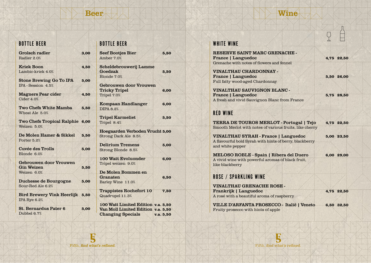## Beer

### Wine

| <b>BOTTLE BEER</b>                   |      | <b>BOTTLE BEER</b>                                    |
|--------------------------------------|------|-------------------------------------------------------|
| <b>Grolsch radler</b><br>Radler 2.0% | 3,00 | <b>Seef Bootjes Bier</b><br>Amber 7.0%                |
| <b>Kriek Boon</b>                    | 4,50 | Scheldebrouwerij Lamme                                |
| Lambic-kriek 4.0%                    |      | Goedzak<br>Blonde 7.0%                                |
| <b>Stone Brewing Go To IPA</b>       | 5,00 |                                                       |
| IPA - Session 4.5%                   |      | <b>Gebrouwen door Vrouwen</b><br><b>Tricky Tripel</b> |
| <b>Magners Pear cider</b>            | 4,50 | Tripel 7.0%                                           |
| Cider 4.0%                           |      |                                                       |
|                                      |      | <b>Kompaan Handlanger</b>                             |
| <b>Two Chefs White Mamba</b>         | 5,50 | <b>DIPA 8.2%</b>                                      |
| Wheat Ale 5.0%                       |      |                                                       |
|                                      |      | <b>Tripel Karmeliet</b>                               |
| Two Chefs Tropical Ralphie 6,00      |      | Tripel 8.4%                                           |
| Weizen 5.0%                          |      |                                                       |
| De Molen Hamer & Sikkel              | 5,50 | <b>Hoegaarden Verboden Vrucht</b>                     |
| Porter 5.2%                          |      | Strong Dark Ale 8.5%                                  |
|                                      |      | <b>Delirium Tremens</b>                               |
| Cuvée des Trolls                     | 5,00 | Strong Blonde 8.5%                                    |
| Blonde 6.0%                          |      |                                                       |
|                                      |      | <b>100 Watt Evoluonder</b>                            |
| <b>Gebrouwen door Vrouwen</b>        |      | Tripel weizen 9.0%                                    |
| <b>Gin Weizen</b>                    | 5,50 |                                                       |
| Weizen 6.0%                          |      | De Molen Bommen en                                    |
|                                      |      | Granaten                                              |
| <b>Duchesse de Bourgogne</b>         | 5,00 | Barley Wine 11.0%                                     |
| Sour-Red Ale 6.2%                    |      |                                                       |
|                                      |      | <b>Trappistes Rochefort 10</b>                        |
| <b>Bird Brewery Vink Heerlijk</b>    | 5,50 | Quadrupel 11.3%                                       |
| IPA Rye 6.2%                         |      | 100 Watt Limited Edition v.a.                         |
| <b>St. Bernardus Pater 6</b>         | 5,00 | Van Moll Limited Edition v.a.                         |
| Dubbel 6.7%                          |      | <b>Changing Specials</b>                              |
|                                      |      | V.a.                                                  |

#### WHITE WINE

 $5,50$ 

 $5,50$ 

 $6,00$ 

 $6,00$ 

 $5,50$ 

 $5,00$ 

 $5,00$ 

 $6,00$ 

 $6,50$ 

 $7,50$ 

 $5.50$  $5,50$  $5,50$ 

RESERVE SAINT MARC GRENACHE - France | Languedoc 4,75 22,50 Grenache with notes of flowers and fennel

Fruity prosecco with hints of apple

 $\overline{C}$ 

| VINALTHAU CHARDONNAY -          |            |
|---------------------------------|------------|
| <b>France   Languedoc</b>       | 5,50 26,00 |
| Full fatty wood-aged Chardonnay |            |

VINALTHAU SAUVIGNON BLANC - France | Languedoc 5,75 28,50 A fresh and vivid Sauvignon Blanc from France

#### RED WINE

TERRA DE TOUROS MERLOT - Portugal | Tejo 4,75 22,50 Smooth Merlot with notes of various fruits, like cherry VINALTHAU SYRAH - France | Languedoc 5,00 23,50 A flavourful bold Syrah with hints of berry, blackberry and white pepper MELOSO ROBLE - Spain | Ribera del Duero 6,00 29,00 A vivid wine with powerful aromas of black fruit, like blackberry ROSE / SPARKLING WINE VINALTHAU GRENACHE ROSE - Frankrijk | Languedoc 4,75 22,50 A rosé with a beautiful aroma of raspberry VILLE D'ARFANTA PROSECCO - Italië | Veneto 6,50 32,50

**B** Fifth, **find what's refined.** Fifth, **find what's refined.** Fifth, **find what's refined.**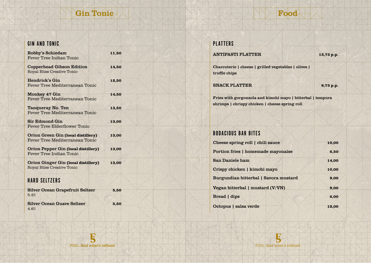## Gin Tonic



| <b>GIN AND TONIC</b>                                                               |       |  |
|------------------------------------------------------------------------------------|-------|--|
| <b>Bobby's Schiedam</b><br><b>Fever Tree Indian Tonic</b>                          | 11,50 |  |
| <b>Copperhead Gibson Edition</b><br><b>Royal Bliss Creative Tonic</b>              | 14,50 |  |
| <b>Hendrick's Gin</b><br>Fever Tree Mediterranean Tonic                            | 12,50 |  |
| Monkey 47 Gin<br><b>Fever Tree Mediterranean Tonic</b>                             | 14,50 |  |
| <b>Tanqueray No. Ten</b><br><b>Fever Tree Mediterranean Tonic</b>                  | 13,50 |  |
| <b>Sir Edmond Gin</b><br><b>Fever Tree Elderflower Tonic</b>                       | 13,00 |  |
| <b>Orion Green Gin (local distillery)</b><br><b>Fever Tree Mediterranean Tonic</b> | 13,00 |  |
| <b>Orion Pepper Gin (local distillery)</b><br>Fever Tree Indian Tonic              | 13,00 |  |
| Orion Ginger Gin (local distillery)<br><b>Royal Bliss Creative Tonic</b>           | 13,00 |  |
| <b>HARD SELTZERS</b>                                                               |       |  |
| <b>Silver Ocean Grapefruit Seltzer</b><br>5.2%                                     | 5,50  |  |
| <b>Silver Ocean Guave Seltzer</b><br>4.6%                                          | 5,50  |  |

| <b>PLATTERS</b>                                                                                               |            |
|---------------------------------------------------------------------------------------------------------------|------------|
| <b>ANTIPASTI PLATTER</b>                                                                                      | 13,75 p.p. |
| Charcuterie   cheese   grilled vegetables   olives  <br>truffle chips                                         |            |
| <b>SNACK PLATTER</b>                                                                                          | 8,75 p.p.  |
| Fries with gorgonzola and kimchi mayo   bitterbal   tempura<br>shrimps   chrispy chicken   cheese spring roll |            |

## BODACIOUS BAR BITES

| Cheese spring roll   chili sauce      | 10,00 |
|---------------------------------------|-------|
| Portion fries   homemade mayonaise    | 6,50  |
| San Daniele ham                       | 14,00 |
| Crispy chicken   kimchi mayo          | 10,00 |
| Burgundian bitterbal   Savora mustard | 9,00  |
| Vegan bitterbal   mustard $(V/VN)$    | 9,00  |
| Bread   dips                          | 6,00  |
| Octopus   salsa verde                 | 12,00 |